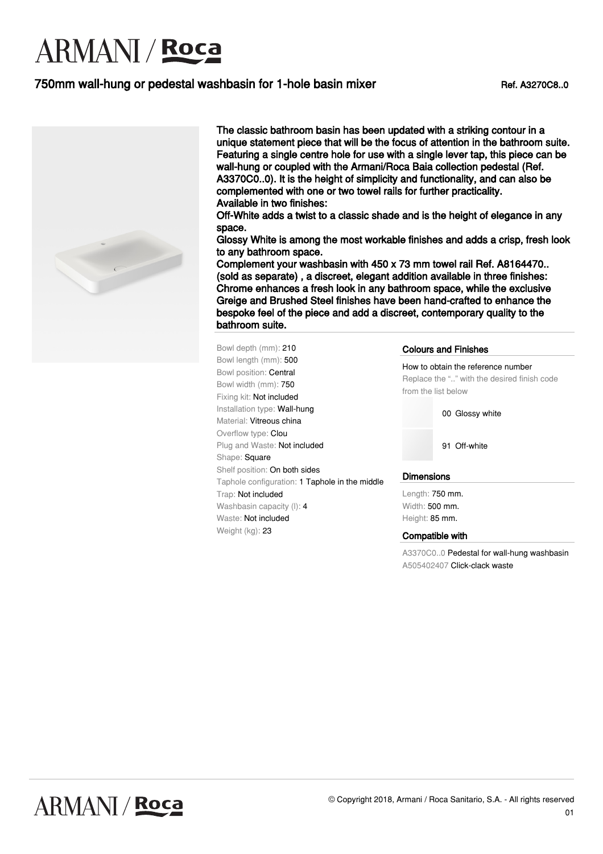### 750mm wall-hung or pedestal washbasin for 1-hole basin mixer Ref. A3270C8..0



The classic bathroom basin has been updated with a striking contour in a unique statement piece that will be the focus of attention in the bathroom suite. Featuring a single centre hole for use with a single lever tap, this piece can be wall-hung or coupled with the Armani/Roca Baia collection pedestal (Ref. A3370C0..0). It is the height of simplicity and functionality, and can also be complemented with one or two towel rails for further practicality. Available in two finishes:

Off-White adds a twist to a classic shade and is the height of elegance in any space.

Glossy White is among the most workable finishes and adds a crisp, fresh look to any bathroom space.

Complement your washbasin with 450 x 73 mm towel rail Ref. A8164470.. (sold as separate) , a discreet, elegant addition available in three finishes: Chrome enhances a fresh look in any bathroom space, while the exclusive Greige and Brushed Steel finishes have been hand-crafted to enhance the bespoke feel of the piece and add a discreet, contemporary quality to the bathroom suite.

Bowl depth (mm): 210 Bowl length (mm): 500 Bowl position: Central Bowl width (mm): 750 Fixing kit: Not included Installation type: Wall-hung Material: Vitreous china Overflow type: Clou Plug and Waste: Not included Shape: Square Shelf position: On both sides Taphole configuration: 1 Taphole in the middle Trap: Not included Washbasin capacity (l): 4 Waste: Not included Weight (kg): 23

Colours and Finishes

How to obtain the reference number Replace the ".." with the desired finish code from the list below

00 Glossy white

91 Off-white

#### **Dimensions**

Length: 750 mm. Width: 500 mm. Height: 85 mm.

#### Compatible with

A3370C0..0 Pedestal for wall-hung washbasin A505402407 Click-clack waste

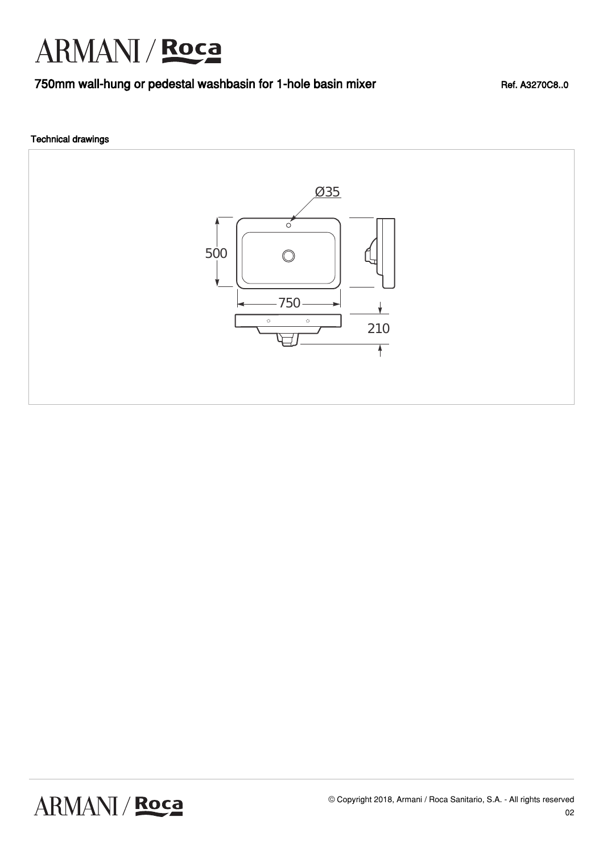### 750mm wall-hung or pedestal washbasin for 1-hole basin mixer Ref. A3270C8..0

### Technical drawings

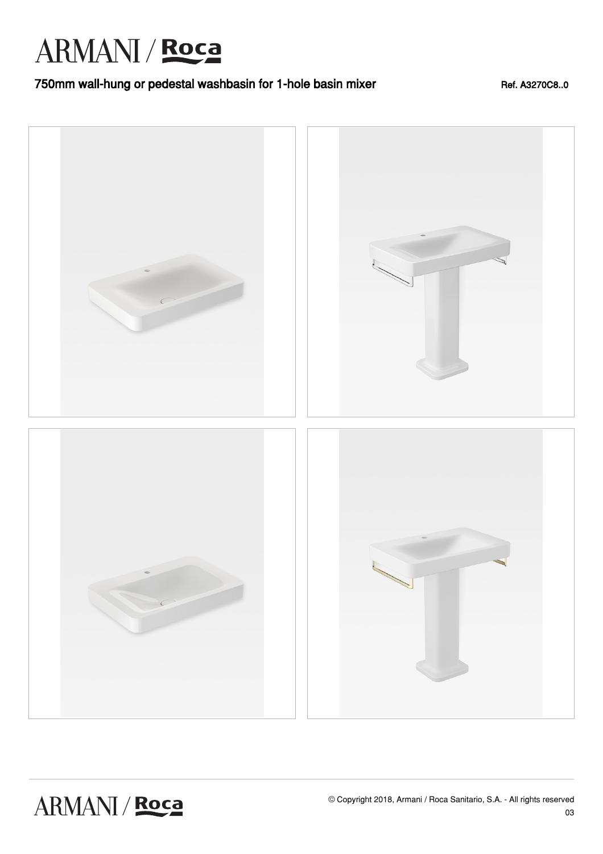### 750mm wall-hung or pedestal washbasin for 1-hole basin mixer Ref. A3270C8..0



ARMANI / Roca